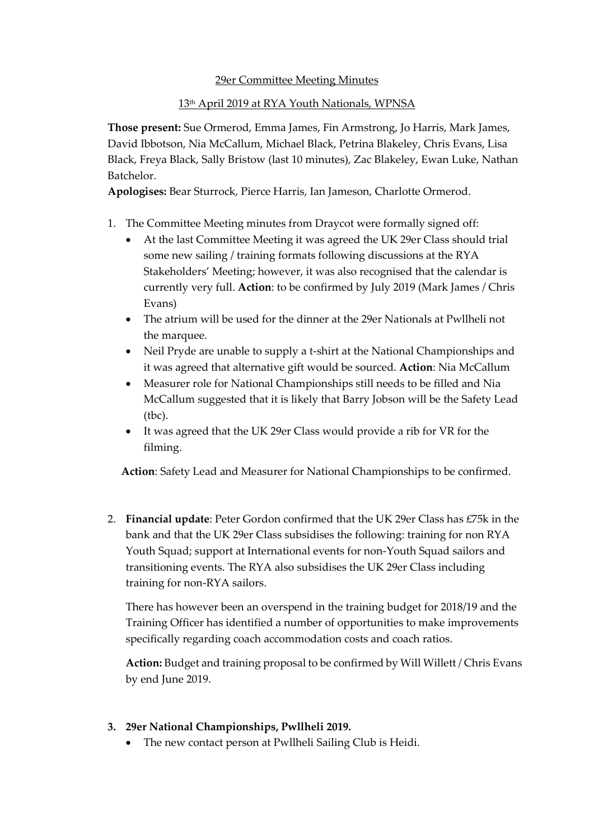## 29er Committee Meeting Minutes

## 13<sup>th</sup> April 2019 at RYA Youth Nationals, WPNSA

**Those present:** Sue Ormerod, Emma James, Fin Armstrong, Jo Harris, Mark James, David Ibbotson, Nia McCallum, Michael Black, Petrina Blakeley, Chris Evans, Lisa Black, Freya Black, Sally Bristow (last 10 minutes), Zac Blakeley, Ewan Luke, Nathan Batchelor.

**Apologises:** Bear Sturrock, Pierce Harris, Ian Jameson, Charlotte Ormerod.

- 1. The Committee Meeting minutes from Draycot were formally signed off:
	- At the last Committee Meeting it was agreed the UK 29er Class should trial some new sailing / training formats following discussions at the RYA Stakeholders' Meeting; however, it was also recognised that the calendar is currently very full. **Action**: to be confirmed by July 2019 (Mark James / Chris Evans)
	- The atrium will be used for the dinner at the 29er Nationals at Pwllheli not the marquee.
	- Neil Pryde are unable to supply a t-shirt at the National Championships and it was agreed that alternative gift would be sourced. **Action**: Nia McCallum
	- Measurer role for National Championships still needs to be filled and Nia McCallum suggested that it is likely that Barry Jobson will be the Safety Lead (tbc).
	- It was agreed that the UK 29er Class would provide a rib for VR for the filming.

**Action**: Safety Lead and Measurer for National Championships to be confirmed.

2. **Financial update**: Peter Gordon confirmed that the UK 29er Class has £75k in the bank and that the UK 29er Class subsidises the following: training for non RYA Youth Squad; support at International events for non-Youth Squad sailors and transitioning events. The RYA also subsidises the UK 29er Class including training for non-RYA sailors.

There has however been an overspend in the training budget for 2018/19 and the Training Officer has identified a number of opportunities to make improvements specifically regarding coach accommodation costs and coach ratios.

**Action:** Budget and training proposal to be confirmed by Will Willett / Chris Evans by end June 2019.

- **3. 29er National Championships, Pwllheli 2019.**
	- The new contact person at Pwllheli Sailing Club is Heidi.